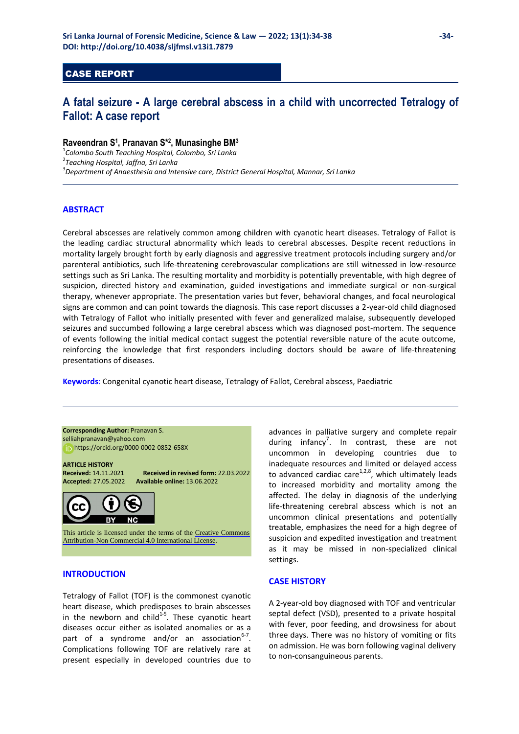## CASE REPORT

# **A fatal seizure - A large cerebral abscess in a child with uncorrected Tetralogy of Fallot: A case report**

## **Raveendran S<sup>1</sup> , Pranavan S\*<sup>2</sup> , Munasinghe BM<sup>3</sup>**

1 *Colombo South Teaching Hospital, Colombo, Sri Lanka*  2 *Teaching Hospital, Jaffna, Sri Lanka*  3 *Department of Anaesthesia and Intensive care, District General Hospital, Mannar, Sri Lanka* 

#### **ABSTRACT**

Cerebral abscesses are relatively common among children with cyanotic heart diseases. Tetralogy of Fallot is the leading cardiac structural abnormality which leads to cerebral abscesses. Despite recent reductions in mortality largely brought forth by early diagnosis and aggressive treatment protocols including surgery and/or parenteral antibiotics, such life-threatening cerebrovascular complications are still witnessed in low-resource settings such as Sri Lanka. The resulting mortality and morbidity is potentially preventable, with high degree of suspicion, directed history and examination, guided investigations and immediate surgical or non-surgical therapy, whenever appropriate. The presentation varies but fever, behavioral changes, and focal neurological signs are common and can point towards the diagnosis. This case report discusses a 2-year-old child diagnosed with Tetralogy of Fallot who initially presented with fever and generalized malaise, subsequently developed seizures and succumbed following a large cerebral abscess which was diagnosed post-mortem. The sequence of events following the initial medical contact suggest the potential reversible nature of the acute outcome, reinforcing the knowledge that first responders including doctors should be aware of life-threatening presentations of diseases.

**Keywords**: Congenital cyanotic heart disease, Tetralogy of Fallot, Cerebral abscess, Paediatric

**Corresponding Author:** Pranavan S. [selliahpranavan@yahoo.com](mailto:selliahpranavan@yahoo.com) 

https[://orcid.org/0000-0002-0852-658X](https://orcid.org/0000-0002-0852-658X) 

**ARTICLE HISTORY** 

**Received:** 14.11.2021 **Received in revised form:** 22.03.2022 **Accepted:** 27.05.2022 **Available online:** 13.06.2022



This article is licensed under the terms of the [Creative Commons](https://creativecommons.org/licenses/by-nc/4.0/)  [Attribution-Non Commercial 4.0 International License](https://creativecommons.org/licenses/by-nc/4.0/).

#### **INTRODUCTION**

Tetralogy of Fallot (TOF) is the commonest cyanotic heart disease, which predisposes to brain abscesses in the newborn and child $1.5$ . These cyanotic heart diseases occur either as isolated anomalies or as a part of a syndrome and/or an association $6-7$ . Complications following TOF are relatively rare at present especially in developed countries due to advances in palliative surgery and complete repair during infancy<sup>7</sup>. In contrast, these are not uncommon in developing countries due to inadequate resources and limited or delayed access to advanced cardiac care $1,2,8$ , which ultimately leads to increased morbidity and mortality among the affected. The delay in diagnosis of the underlying life-threatening cerebral abscess which is not an uncommon clinical presentations and potentially treatable, emphasizes the need for a high degree of suspicion and expedited investigation and treatment as it may be missed in non-specialized clinical settings.

#### **CASE HISTORY**

A 2-year-old boy diagnosed with TOF and ventricular septal defect (VSD), presented to a private hospital with fever, poor feeding, and drowsiness for about three days. There was no history of vomiting or fits on admission. He was born following vaginal delivery to non-consanguineous parents.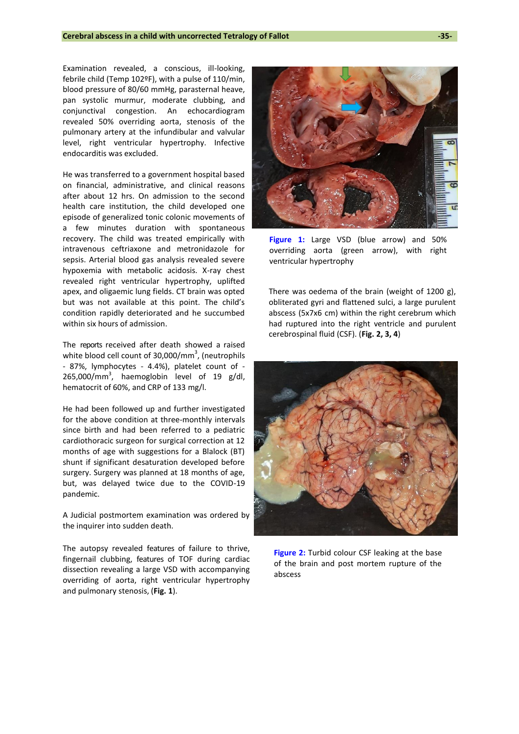Examination revealed, a conscious, ill-looking, febrile child (Temp 102ºF), with a pulse of 110/min, blood pressure of 80/60 mmHg, parasternal heave, pan systolic murmur, moderate clubbing, and conjunctival congestion. An echocardiogram revealed 50% overriding aorta, stenosis of the pulmonary artery at the infundibular and valvular level, right ventricular hypertrophy. Infective endocarditis was excluded.

He was transferred to a government hospital based on financial, administrative, and clinical reasons after about 12 hrs. On admission to the second health care institution, the child developed one episode of generalized tonic colonic movements of a few minutes duration with spontaneous recovery. The child was treated empirically with intravenous ceftriaxone and metronidazole for sepsis. Arterial blood gas analysis revealed severe hypoxemia with metabolic acidosis. X-ray chest revealed right ventricular hypertrophy, uplifted apex, and oligaemic lung fields. CT brain was opted but was not available at this point. The child's condition rapidly deteriorated and he succumbed within six hours of admission.

The reports received after death showed a raised white blood cell count of  $30,000/\text{mm}^3$ , (neutrophils - 87%, lymphocytes - 4.4%), platelet count of -  $265,000/mm^3$ , haemoglobin level of 19 g/dl, hematocrit of 60%, and CRP of 133 mg/l.

He had been followed up and further investigated for the above condition at three-monthly intervals since birth and had been referred to a pediatric cardiothoracic surgeon for surgical correction at 12 months of age with suggestions for a Blalock (BT) shunt if significant desaturation developed before surgery. Surgery was planned at 18 months of age, but, was delayed twice due to the COVID-19 pandemic.

A Judicial postmortem examination was ordered by the inquirer into sudden death.

The autopsy revealed features of failure to thrive, fingernail clubbing, features of TOF during cardiac dissection revealing a large VSD with accompanying overriding of aorta, right ventricular hypertrophy and pulmonary stenosis, (**Fig. 1**).



**Figure 1:** Large VSD (blue arrow) and 50% overriding aorta (green arrow), with right ventricular hypertrophy

There was oedema of the brain (weight of 1200 g), obliterated gyri and flattened sulci, a large purulent abscess (5x7x6 cm) within the right cerebrum which had ruptured into the right ventricle and purulent cerebrospinal fluid (CSF). (**Fig. 2, 3, 4**)



**Figure 2:** Turbid colour CSF leaking at the base of the brain and post mortem rupture of the abscess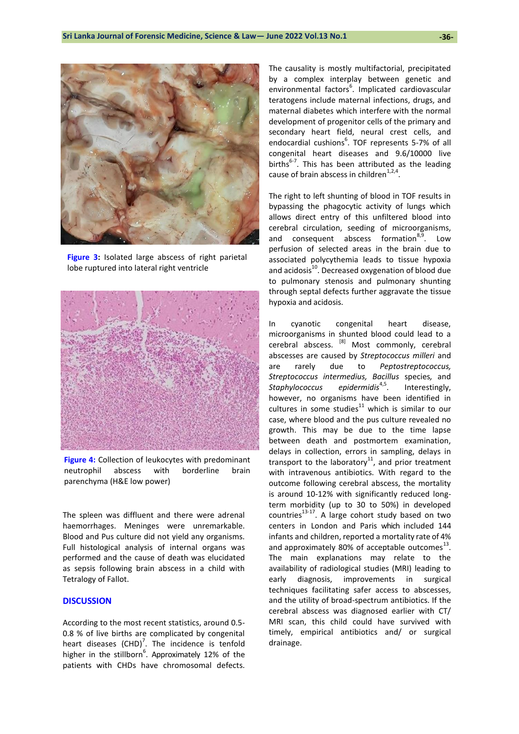

**Figure 3:** Isolated large abscess of right parietal lobe ruptured into lateral right ventricle



**Figure 4:** Collection of leukocytes with predominant neutrophil abscess with borderline brain parenchyma (H&E low power)

The spleen was diffluent and there were adrenal haemorrhages. Meninges were unremarkable. Blood and Pus culture did not yield any organisms. Full histological analysis of internal organs was performed and the cause of death was elucidated as sepsis following brain abscess in a child with Tetralogy of Fallot.

#### **DISCUSSION**

According to the most recent statistics, around 0.5- 0.8 % of live births are complicated by congenital heart diseases  $(CHD)^7$ . The incidence is tenfold higher in the stillborn<sup>6</sup>. Approximately 12% of the patients with CHDs have chromosomal defects.

The causality is mostly multifactorial, precipitated by a complex interplay between genetic and environmental factors<sup>6</sup>. Implicated cardiovascular teratogens include maternal infections, drugs, and maternal diabetes which interfere with the normal development of progenitor cells of the primary and secondary heart field, neural crest cells, and endocardial cushions<sup>6</sup>. TOF represents 5-7% of all congenital heart diseases and 9.6/10000 live births $^{6-7}$ . This has been attributed as the leading cause of brain abscess in children $1,2,4$ .

The right to left shunting of blood in TOF results in bypassing the phagocytic activity of lungs which allows direct entry of this unfiltered blood into cerebral circulation, seeding of microorganisms, and consequent abscess formation $8.9$ . Low perfusion of selected areas in the brain due to associated polycythemia leads to tissue hypoxia and acidosis<sup>10</sup>. Decreased oxygenation of blood due to pulmonary stenosis and pulmonary shunting through septal defects further aggravate the tissue hypoxia and acidosis.

In cyanotic congenital heart disease, microorganisms in shunted blood could lead to a cerebral abscess. [8] Most commonly, cerebral abscesses are caused by *Streptococcus milleri* and are rarely due to *Peptostreptococcus, Streptococcus intermedius, Bacillus* species*,* and *Staphylococcus epidermidis*4,5. Interestingly, however, no organisms have been identified in cultures in some studies $^{11}$  which is similar to our case, where blood and the pus culture revealed no growth. This may be due to the time lapse between death and postmortem examination, delays in collection, errors in sampling, delays in transport to the laboratory $^{11}$ , and prior treatment with intravenous antibiotics. With regard to the outcome following cerebral abscess, the mortality is around 10-12% with significantly reduced longterm morbidity (up to 30 to 50%) in developed countries $13-17$ . A large cohort study based on two centers in London and Paris which included 144 infants and children, reported a mortality rate of 4% and approximately 80% of acceptable outcomes $^{13}$ . The main explanations may relate to the availability of radiological studies (MRI) leading to early diagnosis, improvements in surgical techniques facilitating safer access to abscesses, and the utility of broad-spectrum antibiotics. If the cerebral abscess was diagnosed earlier with CT/ MRI scan, this child could have survived with timely, empirical antibiotics and/ or surgical drainage.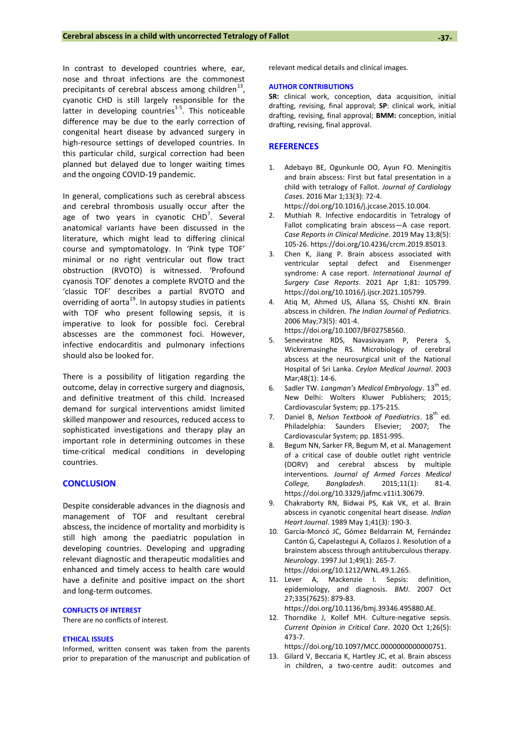In contrast to developed countries where, ear, nose and throat infections are the commonest precipitants of cerebral abscess among children $^{13}$ , cyanotic CHD is still largely responsible for the latter in developing countries<sup>1-5</sup>. This noticeable difference may be due to the early correction of congenital heart disease by advanced surgery in high-resource settings of developed countries. In this particular child, surgical correction had been planned but delayed due to longer waiting times and the ongoing COVID-19 pandemic.

In general, complications such as cerebral abscess and cerebral thrombosis usually occur after the age of two years in cyanotic  $CHD<sup>7</sup>$ . Several anatomical variants have been discussed in the literature, which might lead to differing clinical course and symptomatology. In 'Pink type TOF' minimal or no right ventricular out flow tract obstruction (RVOTO) is witnessed. 'Profound cyanosis TOF' denotes a complete RVOTO and the 'classic TOF' describes a partial RVOTO and overriding of aorta<sup>19</sup>. In autopsy studies in patients with TOF who present following sepsis, it is imperative to look for possible foci. Cerebral abscesses are the commonest foci. However, infective endocarditis and pulmonary infections should also be looked for.

There is a possibility of litigation regarding the outcome, delay in corrective surgery and diagnosis, and definitive treatment of this child. Increased demand for surgical interventions amidst limited skilled manpower and resources, reduced access to sophisticated investigations and therapy play an important role in determining outcomes in these time-critical medical conditions in developing countries.

#### **CONCLUSION**

Despite considerable advances in the diagnosis and management of TOF and resultant cerebral abscess, the incidence of mortality and morbidity is still high among the paediatric population in developing countries. Developing and upgrading relevant diagnostic and therapeutic modalities and enhanced and timely access to health care would have a definite and positive impact on the short and long-term outcomes.

#### **CONFLICTS OF INTEREST**

There are no conflicts of interest.

#### **ETHICAL ISSUES**

Informed, written consent was taken from the parents prior to preparation of the manuscript and publication of relevant medical details and clinical images.

#### **AUTHOR CONTRIBUTIONS**

**SR:** clinical work, conception, data acquisition, initial drafting, revising, final approval; **SP**: clinical work, initial drafting, revising, final approval; **BMM:** conception, initial drafting, revising, final approval.

### **REFERENCES**

- 1. Adebayo BE, Ogunkunle OO, Ayun FO. Meningitis and brain abscess: First but fatal presentation in a child with tetralogy of Fallot. *Journal of Cardiology Cases*. 2016 Mar 1;13(3): 72-4. [https://doi.org/10.1016/j.jccase.2015.10.004.](https://doi.org/10.1016/j.jccase.2015.10.004)
- 2. Muthiah R. Infective endocarditis in Tetralogy of Fallot complicating brain abscess—A case report. *Case Reports in Clinical Medicine*. 2019 May 13;8(5): 105-26[. https://doi.org/10.4236/crcm.2019.85013.](https://doi.org/10.4236/crcm.2019.85013)
- 3. Chen K, Jiang P. Brain abscess associated with ventricular septal defect and Eisenmenger syndrome: A case report. *International Journal of Surgery Case Reports*. 2021 Apr 1;81: 105799. [https://doi.org/10.1016/j.ijscr.2021.105799.](https://doi.org/10.1016/j.ijscr.2021.105799)
- 4. Atiq M, Ahmed US, Allana SS, Chishti KN. Brain abscess in children. *The Indian Journal of Pediatrics*. 2006 May;73(5): 401-4. [https://doi.org/10.1007/BF02758560.](https://doi.org/10.1007/BF02758560)
- 5. Seneviratne RDS, Navasivayam P, Perera S, Wickremasinghe RS. Microbiology of cerebral abscess at the neurosurgical unit of the National Hospital of Sri Lanka. *Ceylon Medical Journal*. 2003 Mar;48(1): 14-6.
- 6. Sadler TW. *Langman's Medical Embryology*. 13th ed. New Delhi: Wolters Kluwer Publishers; 2015; Cardiovascular System; pp. 175-215.
- 7. Daniel B, Nelson Textbook of Paediatrics. 18<sup>th</sup> ed. Philadelphia: Saunders Elsevier; 2007; The Cardiovascular System; pp. 1851-995.
- 8. Begum NN, Sarker FR, Begum M, et al. Management of a critical case of double outlet right ventricle (DORV) and cerebral abscess by multiple interventions. *Journal of Armed Forces Medical College, Bangladesh*. 2015;11(1): 81-4. [https://doi.org/10.3329/jafmc.v11i1.30679.](https://doi.org/10.3329/jafmc.v11i1.30679)
- 9. Chakraborty RN, Bidwai PS, Kak VK, et al. Brain abscess in cyanotic congenital heart disease. *Indian Heart Journal*. 1989 May 1;41(3): 190-3.
- 10. García-Moncó JC, Gómez Beldarrain M, Fernández Cantón G, Capelastegui A, Collazos J. Resolution of a brainstem abscess through antituberculous therapy. *Neurology*. 1997 Jul 1;49(1): 265-7. [https://doi.org/10.1212/WNL.49.1.265.](https://doi.org/10.1212/WNL.49.1.265)
- 11. Lever A, Mackenzie I. Sepsis: definition, epidemiology, and diagnosis. *BMJ*. 2007 Oct 27;335(7625): 879-83. [https://doi.org/10.1136/bmj.39346.495880.AE.](https://doi.org/10.1136/bmj.39346.495880.AE)
- 12. Thorndike J, Kollef MH. Culture-negative sepsis. *Current Opinion in Critical Care*. 2020 Oct 1;26(5): 473-7.

[https://doi.org/10.1097/MCC.0000000000000751.](https://doi.org/10.1097/MCC.0000000000000751)

13. Gilard V, Beccaria K, Hartley JC, et al. Brain abscess in children, a two-centre audit: outcomes and